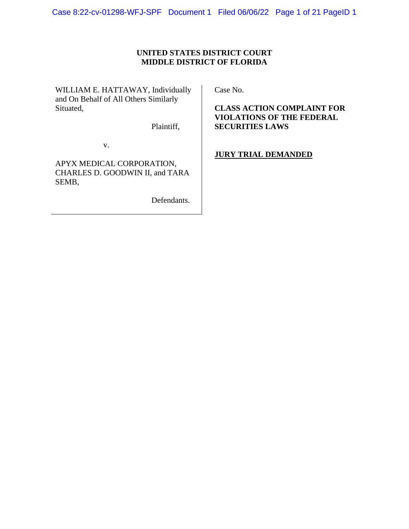## **UNITED STATES DISTRICT COURT MIDDLE DISTRICT OF FLORIDA**

WILLIAM E. HATTAWAY, Individually and On Behalf of All Others Similarly Situated,

Plaintiff,

v.

APYX MEDICAL CORPORATION, CHARLES D. GOODWIN II, and TARA SEMB,

Defendants.

Case No.

**CLASS ACTION COMPLAINT FOR VIOLATIONS OF THE FEDERAL SECURITIES LAWS**

**JURY TRIAL DEMANDED**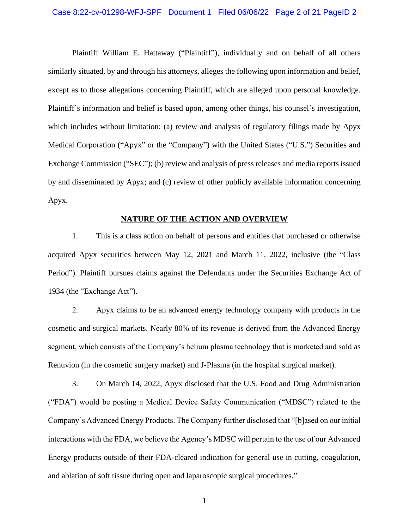Plaintiff William E. Hattaway ("Plaintiff"), individually and on behalf of all others similarly situated, by and through his attorneys, alleges the following upon information and belief, except as to those allegations concerning Plaintiff, which are alleged upon personal knowledge. Plaintiff's information and belief is based upon, among other things, his counsel's investigation, which includes without limitation: (a) review and analysis of regulatory filings made by Apyx Medical Corporation ("Apyx" or the "Company") with the United States ("U.S.") Securities and Exchange Commission ("SEC"); (b) review and analysis of press releases and media reports issued by and disseminated by Apyx; and (c) review of other publicly available information concerning Apyx.

#### **NATURE OF THE ACTION AND OVERVIEW**

1. This is a class action on behalf of persons and entities that purchased or otherwise acquired Apyx securities between May 12, 2021 and March 11, 2022, inclusive (the "Class Period"). Plaintiff pursues claims against the Defendants under the Securities Exchange Act of 1934 (the "Exchange Act").

2. Apyx claims to be an advanced energy technology company with products in the cosmetic and surgical markets. Nearly 80% of its revenue is derived from the Advanced Energy segment, which consists of the Company's helium plasma technology that is marketed and sold as Renuvion (in the cosmetic surgery market) and J-Plasma (in the hospital surgical market).

3. On March 14, 2022, Apyx disclosed that the U.S. Food and Drug Administration ("FDA") would be posting a Medical Device Safety Communication ("MDSC") related to the Company's Advanced Energy Products. The Company further disclosed that "[b]ased on our initial interactions with the FDA, we believe the Agency's MDSC will pertain to the use of our Advanced Energy products outside of their FDA-cleared indication for general use in cutting, coagulation, and ablation of soft tissue during open and laparoscopic surgical procedures."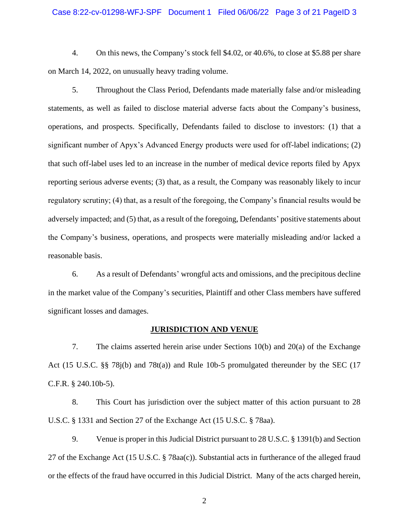#### Case 8:22-cv-01298-WFJ-SPF Document 1 Filed 06/06/22 Page 3 of 21 PageID 3

4. On this news, the Company's stock fell \$4.02, or 40.6%, to close at \$5.88 per share on March 14, 2022, on unusually heavy trading volume.

5. Throughout the Class Period, Defendants made materially false and/or misleading statements, as well as failed to disclose material adverse facts about the Company's business, operations, and prospects. Specifically, Defendants failed to disclose to investors: (1) that a significant number of Apyx's Advanced Energy products were used for off-label indications; (2) that such off-label uses led to an increase in the number of medical device reports filed by Apyx reporting serious adverse events; (3) that, as a result, the Company was reasonably likely to incur regulatory scrutiny; (4) that, as a result of the foregoing, the Company's financial results would be adversely impacted; and (5) that, as a result of the foregoing, Defendants' positive statements about the Company's business, operations, and prospects were materially misleading and/or lacked a reasonable basis.

6. As a result of Defendants' wrongful acts and omissions, and the precipitous decline in the market value of the Company's securities, Plaintiff and other Class members have suffered significant losses and damages.

#### **JURISDICTION AND VENUE**

7. The claims asserted herein arise under Sections 10(b) and 20(a) of the Exchange Act (15 U.S.C. §§ 78j(b) and 78t(a)) and Rule 10b-5 promulgated thereunder by the SEC (17 C.F.R. § 240.10b-5).

8. This Court has jurisdiction over the subject matter of this action pursuant to 28 U.S.C. § 1331 and Section 27 of the Exchange Act (15 U.S.C. § 78aa).

9. Venue is proper in this Judicial District pursuant to 28 U.S.C. § 1391(b) and Section 27 of the Exchange Act (15 U.S.C. § 78aa(c)). Substantial acts in furtherance of the alleged fraud or the effects of the fraud have occurred in this Judicial District. Many of the acts charged herein,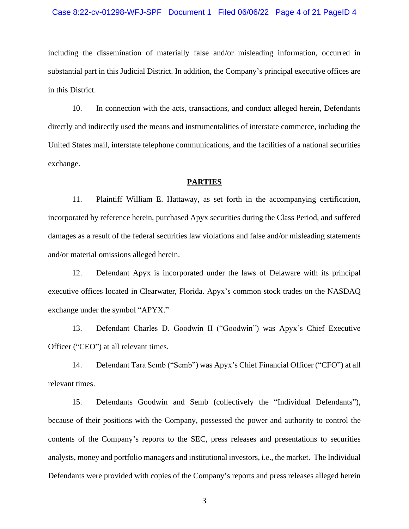#### Case 8:22-cv-01298-WFJ-SPF Document 1 Filed 06/06/22 Page 4 of 21 PageID 4

including the dissemination of materially false and/or misleading information, occurred in substantial part in this Judicial District. In addition, the Company's principal executive offices are in this District.

10. In connection with the acts, transactions, and conduct alleged herein, Defendants directly and indirectly used the means and instrumentalities of interstate commerce, including the United States mail, interstate telephone communications, and the facilities of a national securities exchange.

#### **PARTIES**

11. Plaintiff William E. Hattaway, as set forth in the accompanying certification, incorporated by reference herein, purchased Apyx securities during the Class Period, and suffered damages as a result of the federal securities law violations and false and/or misleading statements and/or material omissions alleged herein.

12. Defendant Apyx is incorporated under the laws of Delaware with its principal executive offices located in Clearwater, Florida. Apyx's common stock trades on the NASDAQ exchange under the symbol "APYX."

13. Defendant Charles D. Goodwin II ("Goodwin") was Apyx's Chief Executive Officer ("CEO") at all relevant times.

14. Defendant Tara Semb ("Semb") was Apyx's Chief Financial Officer ("CFO") at all relevant times.

15. Defendants Goodwin and Semb (collectively the "Individual Defendants"), because of their positions with the Company, possessed the power and authority to control the contents of the Company's reports to the SEC, press releases and presentations to securities analysts, money and portfolio managers and institutional investors, i.e., the market. The Individual Defendants were provided with copies of the Company's reports and press releases alleged herein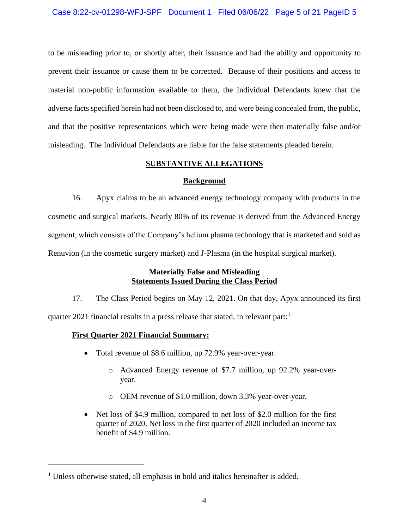to be misleading prior to, or shortly after, their issuance and had the ability and opportunity to prevent their issuance or cause them to be corrected. Because of their positions and access to material non-public information available to them, the Individual Defendants knew that the adverse facts specified herein had not been disclosed to, and were being concealed from, the public, and that the positive representations which were being made were then materially false and/or misleading. The Individual Defendants are liable for the false statements pleaded herein.

## **SUBSTANTIVE ALLEGATIONS**

## **Background**

16. Apyx claims to be an advanced energy technology company with products in the cosmetic and surgical markets. Nearly 80% of its revenue is derived from the Advanced Energy segment, which consists of the Company's helium plasma technology that is marketed and sold as Renuvion (in the cosmetic surgery market) and J-Plasma (in the hospital surgical market).

## **Materially False and Misleading Statements Issued During the Class Period**

17. The Class Period begins on May 12, 2021. On that day, Apyx announced its first quarter 2021 financial results in a press release that stated, in relevant part:<sup>1</sup>

## **First Quarter 2021 Financial Summary:**

- Total revenue of \$8.6 million, up 72.9% year-over-year.
	- o Advanced Energy revenue of \$7.7 million, up 92.2% year-overyear.
	- o OEM revenue of \$1.0 million, down 3.3% year-over-year.
- Net loss of \$4.9 million, compared to net loss of \$2.0 million for the first quarter of 2020. Net loss in the first quarter of 2020 included an income tax benefit of \$4.9 million.

<sup>&</sup>lt;sup>1</sup> Unless otherwise stated, all emphasis in bold and italics hereinafter is added.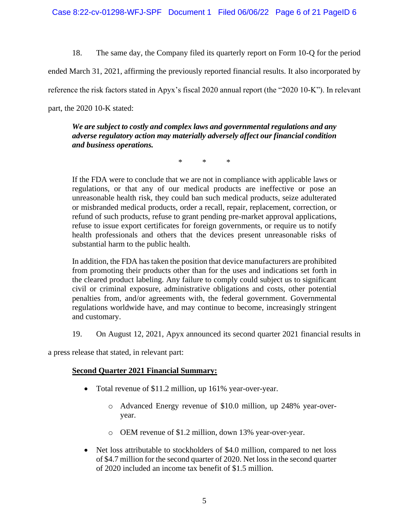18. The same day, the Company filed its quarterly report on Form 10-Q for the period

ended March 31, 2021, affirming the previously reported financial results. It also incorporated by

reference the risk factors stated in Apyx's fiscal 2020 annual report (the "2020 10-K"). In relevant

part, the 2020 10-K stated:

*We are subject to costly and complex laws and governmental regulations and any adverse regulatory action may materially adversely affect our financial condition and business operations.*

\* \* \*

If the FDA were to conclude that we are not in compliance with applicable laws or regulations, or that any of our medical products are ineffective or pose an unreasonable health risk, they could ban such medical products, seize adulterated or misbranded medical products, order a recall, repair, replacement, correction, or refund of such products, refuse to grant pending pre-market approval applications, refuse to issue export certificates for foreign governments, or require us to notify health professionals and others that the devices present unreasonable risks of substantial harm to the public health.

In addition, the FDA has taken the position that device manufacturers are prohibited from promoting their products other than for the uses and indications set forth in the cleared product labeling. Any failure to comply could subject us to significant civil or criminal exposure, administrative obligations and costs, other potential penalties from, and/or agreements with, the federal government. Governmental regulations worldwide have, and may continue to become, increasingly stringent and customary.

19. On August 12, 2021, Apyx announced its second quarter 2021 financial results in

a press release that stated, in relevant part:

## **Second Quarter 2021 Financial Summary:**

- Total revenue of \$11.2 million, up 161% year-over-year.
	- o Advanced Energy revenue of \$10.0 million, up 248% year-overyear.
	- o OEM revenue of \$1.2 million, down 13% year-over-year.
- Net loss attributable to stockholders of \$4.0 million, compared to net loss of \$4.7 million for the second quarter of 2020. Net loss in the second quarter of 2020 included an income tax benefit of \$1.5 million.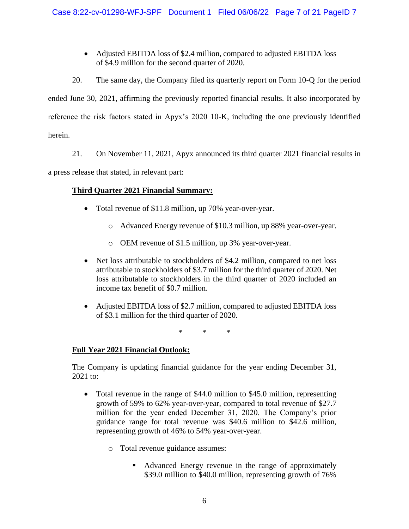- Adjusted EBITDA loss of \$2.4 million, compared to adjusted EBITDA loss of \$4.9 million for the second quarter of 2020.
- 20. The same day, the Company filed its quarterly report on Form 10-Q for the period

ended June 30, 2021, affirming the previously reported financial results. It also incorporated by reference the risk factors stated in Apyx's 2020 10-K, including the one previously identified herein.

21. On November 11, 2021, Apyx announced its third quarter 2021 financial results in

a press release that stated, in relevant part:

# **Third Quarter 2021 Financial Summary:**

- Total revenue of \$11.8 million, up 70% year-over-year.
	- o Advanced Energy revenue of \$10.3 million, up 88% year-over-year.
	- o OEM revenue of \$1.5 million, up 3% year-over-year.
- Net loss attributable to stockholders of \$4.2 million, compared to net loss attributable to stockholders of \$3.7 million for the third quarter of 2020. Net loss attributable to stockholders in the third quarter of 2020 included an income tax benefit of \$0.7 million.
- Adjusted EBITDA loss of \$2.7 million, compared to adjusted EBITDA loss of \$3.1 million for the third quarter of 2020.

\* \* \*

# **Full Year 2021 Financial Outlook:**

The Company is updating financial guidance for the year ending December 31, 2021 to:

- Total revenue in the range of \$44.0 million to \$45.0 million, representing growth of 59% to 62% year-over-year, compared to total revenue of \$27.7 million for the year ended December 31, 2020. The Company's prior guidance range for total revenue was \$40.6 million to \$42.6 million, representing growth of 46% to 54% year-over-year.
	- o Total revenue guidance assumes:
		- Advanced Energy revenue in the range of approximately \$39.0 million to \$40.0 million, representing growth of 76%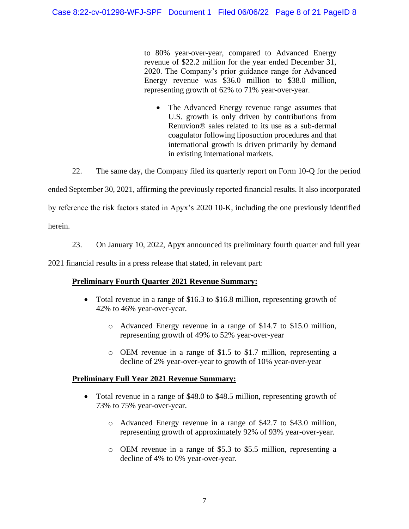to 80% year-over-year, compared to Advanced Energy revenue of \$22.2 million for the year ended December 31, 2020. The Company's prior guidance range for Advanced Energy revenue was \$36.0 million to \$38.0 million, representing growth of 62% to 71% year-over-year.

• The Advanced Energy revenue range assumes that U.S. growth is only driven by contributions from Renuvion® sales related to its use as a sub-dermal coagulator following liposuction procedures and that international growth is driven primarily by demand in existing international markets.

22. The same day, the Company filed its quarterly report on Form 10-Q for the period

ended September 30, 2021, affirming the previously reported financial results. It also incorporated

by reference the risk factors stated in Apyx's 2020 10-K, including the one previously identified

herein.

23. On January 10, 2022, Apyx announced its preliminary fourth quarter and full year

2021 financial results in a press release that stated, in relevant part:

# **Preliminary Fourth Quarter 2021 Revenue Summary:**

- Total revenue in a range of \$16.3 to \$16.8 million, representing growth of 42% to 46% year-over-year.
	- o Advanced Energy revenue in a range of \$14.7 to \$15.0 million, representing growth of 49% to 52% year-over-year
	- o OEM revenue in a range of \$1.5 to \$1.7 million, representing a decline of 2% year-over-year to growth of 10% year-over-year

## **Preliminary Full Year 2021 Revenue Summary:**

- Total revenue in a range of \$48.0 to \$48.5 million, representing growth of 73% to 75% year-over-year.
	- o Advanced Energy revenue in a range of \$42.7 to \$43.0 million, representing growth of approximately 92% of 93% year-over-year.
	- o OEM revenue in a range of \$5.3 to \$5.5 million, representing a decline of 4% to 0% year-over-year.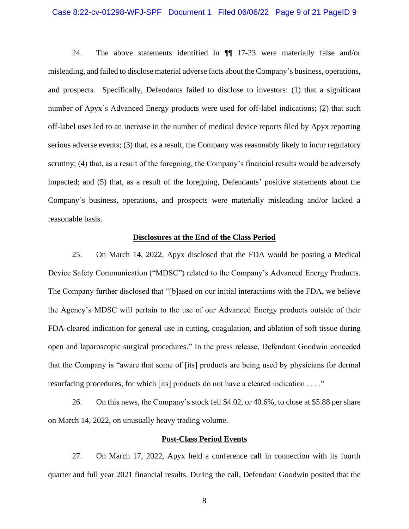24. The above statements identified in ¶¶ 17-23 were materially false and/or misleading, and failed to disclose material adverse facts about the Company's business, operations, and prospects. Specifically, Defendants failed to disclose to investors: (1) that a significant number of Apyx's Advanced Energy products were used for off-label indications; (2) that such off-label uses led to an increase in the number of medical device reports filed by Apyx reporting serious adverse events; (3) that, as a result, the Company was reasonably likely to incur regulatory scrutiny; (4) that, as a result of the foregoing, the Company's financial results would be adversely impacted; and (5) that, as a result of the foregoing, Defendants' positive statements about the Company's business, operations, and prospects were materially misleading and/or lacked a reasonable basis.

### **Disclosures at the End of the Class Period**

25. On March 14, 2022, Apyx disclosed that the FDA would be posting a Medical Device Safety Communication ("MDSC") related to the Company's Advanced Energy Products. The Company further disclosed that "[b]ased on our initial interactions with the FDA, we believe the Agency's MDSC will pertain to the use of our Advanced Energy products outside of their FDA-cleared indication for general use in cutting, coagulation, and ablation of soft tissue during open and laparoscopic surgical procedures." In the press release, Defendant Goodwin conceded that the Company is "aware that some of [its] products are being used by physicians for dermal resurfacing procedures, for which [its] products do not have a cleared indication . . . ."

26. On this news, the Company's stock fell \$4.02, or 40.6%, to close at \$5.88 per share on March 14, 2022, on unusually heavy trading volume.

#### **Post-Class Period Events**

27. On March 17, 2022, Apyx held a conference call in connection with its fourth quarter and full year 2021 financial results. During the call, Defendant Goodwin posited that the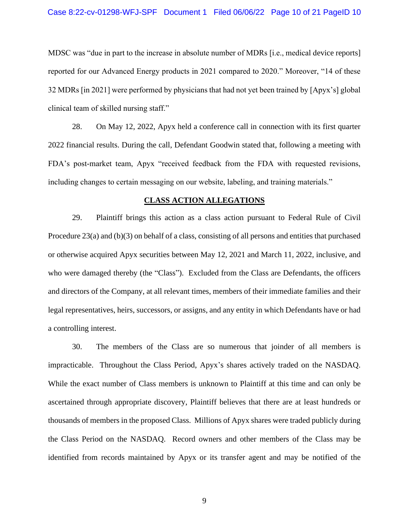#### Case 8:22-cv-01298-WFJ-SPF Document 1 Filed 06/06/22 Page 10 of 21 PageID 10

MDSC was "due in part to the increase in absolute number of MDRs [i.e., medical device reports] reported for our Advanced Energy products in 2021 compared to 2020." Moreover, "14 of these 32 MDRs [in 2021] were performed by physicians that had not yet been trained by [Apyx's] global clinical team of skilled nursing staff."

28. On May 12, 2022, Apyx held a conference call in connection with its first quarter 2022 financial results. During the call, Defendant Goodwin stated that, following a meeting with FDA's post-market team, Apyx "received feedback from the FDA with requested revisions, including changes to certain messaging on our website, labeling, and training materials."

#### **CLASS ACTION ALLEGATIONS**

29. Plaintiff brings this action as a class action pursuant to Federal Rule of Civil Procedure 23(a) and (b)(3) on behalf of a class, consisting of all persons and entities that purchased or otherwise acquired Apyx securities between May 12, 2021 and March 11, 2022, inclusive, and who were damaged thereby (the "Class"). Excluded from the Class are Defendants, the officers and directors of the Company, at all relevant times, members of their immediate families and their legal representatives, heirs, successors, or assigns, and any entity in which Defendants have or had a controlling interest.

30. The members of the Class are so numerous that joinder of all members is impracticable. Throughout the Class Period, Apyx's shares actively traded on the NASDAQ. While the exact number of Class members is unknown to Plaintiff at this time and can only be ascertained through appropriate discovery, Plaintiff believes that there are at least hundreds or thousands of members in the proposed Class. Millions of Apyx shares were traded publicly during the Class Period on the NASDAQ. Record owners and other members of the Class may be identified from records maintained by Apyx or its transfer agent and may be notified of the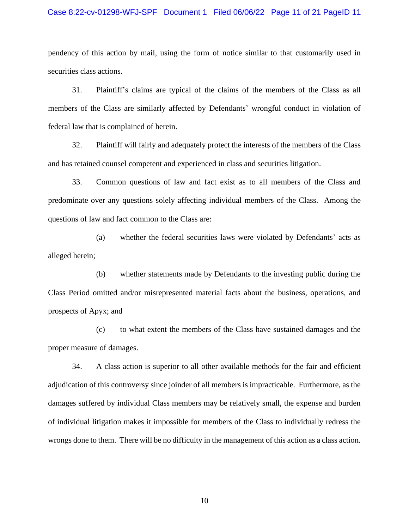#### Case 8:22-cv-01298-WFJ-SPF Document 1 Filed 06/06/22 Page 11 of 21 PageID 11

pendency of this action by mail, using the form of notice similar to that customarily used in securities class actions.

31. Plaintiff's claims are typical of the claims of the members of the Class as all members of the Class are similarly affected by Defendants' wrongful conduct in violation of federal law that is complained of herein.

32. Plaintiff will fairly and adequately protect the interests of the members of the Class and has retained counsel competent and experienced in class and securities litigation.

33. Common questions of law and fact exist as to all members of the Class and predominate over any questions solely affecting individual members of the Class. Among the questions of law and fact common to the Class are:

(a) whether the federal securities laws were violated by Defendants' acts as alleged herein;

(b) whether statements made by Defendants to the investing public during the Class Period omitted and/or misrepresented material facts about the business, operations, and prospects of Apyx; and

(c) to what extent the members of the Class have sustained damages and the proper measure of damages.

34. A class action is superior to all other available methods for the fair and efficient adjudication of this controversy since joinder of all members is impracticable. Furthermore, as the damages suffered by individual Class members may be relatively small, the expense and burden of individual litigation makes it impossible for members of the Class to individually redress the wrongs done to them. There will be no difficulty in the management of this action as a class action.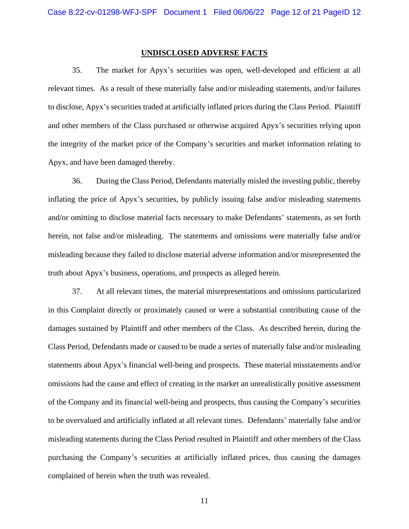#### **UNDISCLOSED ADVERSE FACTS**

35. The market for Apyx's securities was open, well-developed and efficient at all relevant times. As a result of these materially false and/or misleading statements, and/or failures to disclose, Apyx's securities traded at artificially inflated prices during the Class Period. Plaintiff and other members of the Class purchased or otherwise acquired Apyx's securities relying upon the integrity of the market price of the Company's securities and market information relating to Apyx, and have been damaged thereby.

36. During the Class Period, Defendants materially misled the investing public, thereby inflating the price of Apyx's securities, by publicly issuing false and/or misleading statements and/or omitting to disclose material facts necessary to make Defendants' statements, as set forth herein, not false and/or misleading. The statements and omissions were materially false and/or misleading because they failed to disclose material adverse information and/or misrepresented the truth about Apyx's business, operations, and prospects as alleged herein.

37. At all relevant times, the material misrepresentations and omissions particularized in this Complaint directly or proximately caused or were a substantial contributing cause of the damages sustained by Plaintiff and other members of the Class. As described herein, during the Class Period, Defendants made or caused to be made a series of materially false and/or misleading statements about Apyx's financial well-being and prospects. These material misstatements and/or omissions had the cause and effect of creating in the market an unrealistically positive assessment of the Company and its financial well-being and prospects, thus causing the Company's securities to be overvalued and artificially inflated at all relevant times. Defendants' materially false and/or misleading statements during the Class Period resulted in Plaintiff and other members of the Class purchasing the Company's securities at artificially inflated prices, thus causing the damages complained of herein when the truth was revealed.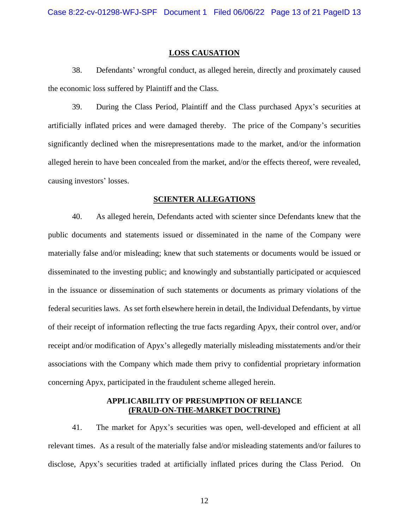#### **LOSS CAUSATION**

38. Defendants' wrongful conduct, as alleged herein, directly and proximately caused the economic loss suffered by Plaintiff and the Class.

39. During the Class Period, Plaintiff and the Class purchased Apyx's securities at artificially inflated prices and were damaged thereby. The price of the Company's securities significantly declined when the misrepresentations made to the market, and/or the information alleged herein to have been concealed from the market, and/or the effects thereof, were revealed, causing investors' losses.

### **SCIENTER ALLEGATIONS**

40. As alleged herein, Defendants acted with scienter since Defendants knew that the public documents and statements issued or disseminated in the name of the Company were materially false and/or misleading; knew that such statements or documents would be issued or disseminated to the investing public; and knowingly and substantially participated or acquiesced in the issuance or dissemination of such statements or documents as primary violations of the federal securities laws. As set forth elsewhere herein in detail, the Individual Defendants, by virtue of their receipt of information reflecting the true facts regarding Apyx, their control over, and/or receipt and/or modification of Apyx's allegedly materially misleading misstatements and/or their associations with the Company which made them privy to confidential proprietary information concerning Apyx, participated in the fraudulent scheme alleged herein.

## **APPLICABILITY OF PRESUMPTION OF RELIANCE (FRAUD-ON-THE-MARKET DOCTRINE)**

41. The market for Apyx's securities was open, well-developed and efficient at all relevant times. As a result of the materially false and/or misleading statements and/or failures to disclose, Apyx's securities traded at artificially inflated prices during the Class Period. On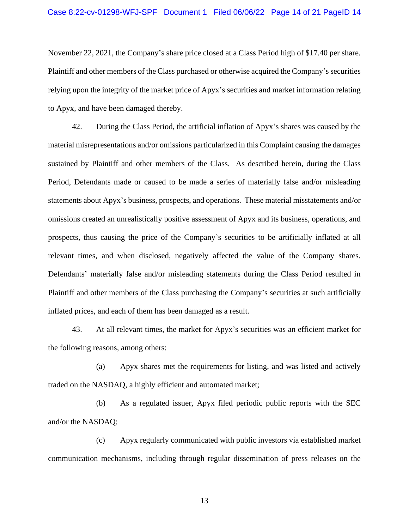November 22, 2021, the Company's share price closed at a Class Period high of \$17.40 per share. Plaintiff and other members of the Class purchased or otherwise acquired the Company's securities relying upon the integrity of the market price of Apyx's securities and market information relating to Apyx, and have been damaged thereby.

42. During the Class Period, the artificial inflation of Apyx's shares was caused by the material misrepresentations and/or omissions particularized in this Complaint causing the damages sustained by Plaintiff and other members of the Class. As described herein, during the Class Period, Defendants made or caused to be made a series of materially false and/or misleading statements about Apyx's business, prospects, and operations. These material misstatements and/or omissions created an unrealistically positive assessment of Apyx and its business, operations, and prospects, thus causing the price of the Company's securities to be artificially inflated at all relevant times, and when disclosed, negatively affected the value of the Company shares. Defendants' materially false and/or misleading statements during the Class Period resulted in Plaintiff and other members of the Class purchasing the Company's securities at such artificially inflated prices, and each of them has been damaged as a result.

43. At all relevant times, the market for Apyx's securities was an efficient market for the following reasons, among others:

(a) Apyx shares met the requirements for listing, and was listed and actively traded on the NASDAQ, a highly efficient and automated market;

(b) As a regulated issuer, Apyx filed periodic public reports with the SEC and/or the NASDAQ;

(c) Apyx regularly communicated with public investors via established market communication mechanisms, including through regular dissemination of press releases on the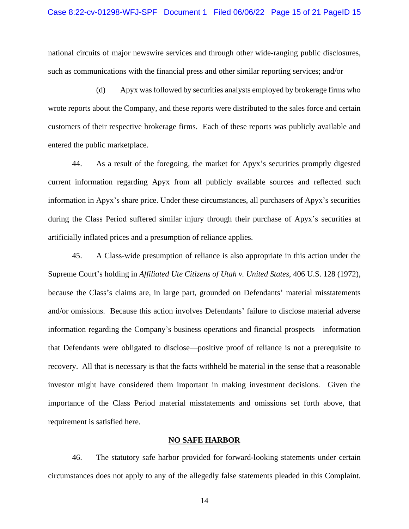national circuits of major newswire services and through other wide-ranging public disclosures, such as communications with the financial press and other similar reporting services; and/or

(d) Apyx wasfollowed by securities analysts employed by brokerage firms who wrote reports about the Company, and these reports were distributed to the sales force and certain customers of their respective brokerage firms. Each of these reports was publicly available and entered the public marketplace.

44. As a result of the foregoing, the market for Apyx's securities promptly digested current information regarding Apyx from all publicly available sources and reflected such information in Apyx's share price. Under these circumstances, all purchasers of Apyx's securities during the Class Period suffered similar injury through their purchase of Apyx's securities at artificially inflated prices and a presumption of reliance applies.

45. A Class-wide presumption of reliance is also appropriate in this action under the Supreme Court's holding in *Affiliated Ute Citizens of Utah v. United States*, 406 U.S. 128 (1972), because the Class's claims are, in large part, grounded on Defendants' material misstatements and/or omissions. Because this action involves Defendants' failure to disclose material adverse information regarding the Company's business operations and financial prospects—information that Defendants were obligated to disclose—positive proof of reliance is not a prerequisite to recovery. All that is necessary is that the facts withheld be material in the sense that a reasonable investor might have considered them important in making investment decisions. Given the importance of the Class Period material misstatements and omissions set forth above, that requirement is satisfied here.

### **NO SAFE HARBOR**

46. The statutory safe harbor provided for forward-looking statements under certain circumstances does not apply to any of the allegedly false statements pleaded in this Complaint.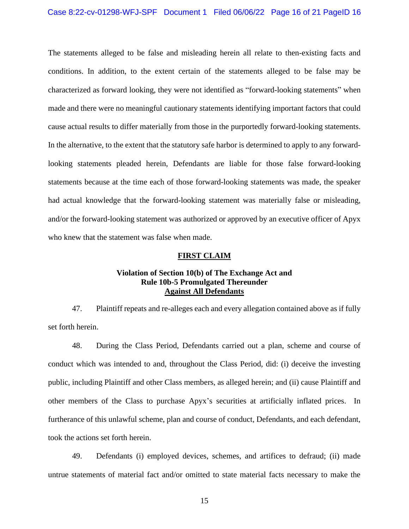The statements alleged to be false and misleading herein all relate to then-existing facts and conditions. In addition, to the extent certain of the statements alleged to be false may be characterized as forward looking, they were not identified as "forward-looking statements" when made and there were no meaningful cautionary statements identifying important factors that could cause actual results to differ materially from those in the purportedly forward-looking statements. In the alternative, to the extent that the statutory safe harbor is determined to apply to any forwardlooking statements pleaded herein, Defendants are liable for those false forward-looking statements because at the time each of those forward-looking statements was made, the speaker had actual knowledge that the forward-looking statement was materially false or misleading, and/or the forward-looking statement was authorized or approved by an executive officer of Apyx who knew that the statement was false when made.

#### **FIRST CLAIM**

## **Violation of Section 10(b) of The Exchange Act and Rule 10b-5 Promulgated Thereunder Against All Defendants**

47. Plaintiff repeats and re-alleges each and every allegation contained above as if fully set forth herein.

48. During the Class Period, Defendants carried out a plan, scheme and course of conduct which was intended to and, throughout the Class Period, did: (i) deceive the investing public, including Plaintiff and other Class members, as alleged herein; and (ii) cause Plaintiff and other members of the Class to purchase Apyx's securities at artificially inflated prices. In furtherance of this unlawful scheme, plan and course of conduct, Defendants, and each defendant, took the actions set forth herein.

49. Defendants (i) employed devices, schemes, and artifices to defraud; (ii) made untrue statements of material fact and/or omitted to state material facts necessary to make the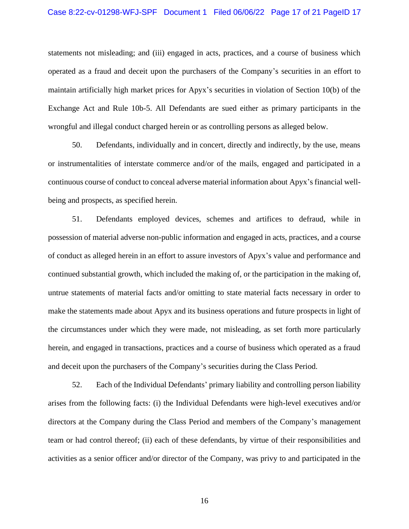#### Case 8:22-cv-01298-WFJ-SPF Document 1 Filed 06/06/22 Page 17 of 21 PageID 17

statements not misleading; and (iii) engaged in acts, practices, and a course of business which operated as a fraud and deceit upon the purchasers of the Company's securities in an effort to maintain artificially high market prices for Apyx's securities in violation of Section 10(b) of the Exchange Act and Rule 10b-5. All Defendants are sued either as primary participants in the wrongful and illegal conduct charged herein or as controlling persons as alleged below.

50. Defendants, individually and in concert, directly and indirectly, by the use, means or instrumentalities of interstate commerce and/or of the mails, engaged and participated in a continuous course of conduct to conceal adverse material information about Apyx's financial wellbeing and prospects, as specified herein.

51. Defendants employed devices, schemes and artifices to defraud, while in possession of material adverse non-public information and engaged in acts, practices, and a course of conduct as alleged herein in an effort to assure investors of Apyx's value and performance and continued substantial growth, which included the making of, or the participation in the making of, untrue statements of material facts and/or omitting to state material facts necessary in order to make the statements made about Apyx and its business operations and future prospects in light of the circumstances under which they were made, not misleading, as set forth more particularly herein, and engaged in transactions, practices and a course of business which operated as a fraud and deceit upon the purchasers of the Company's securities during the Class Period.

52. Each of the Individual Defendants' primary liability and controlling person liability arises from the following facts: (i) the Individual Defendants were high-level executives and/or directors at the Company during the Class Period and members of the Company's management team or had control thereof; (ii) each of these defendants, by virtue of their responsibilities and activities as a senior officer and/or director of the Company, was privy to and participated in the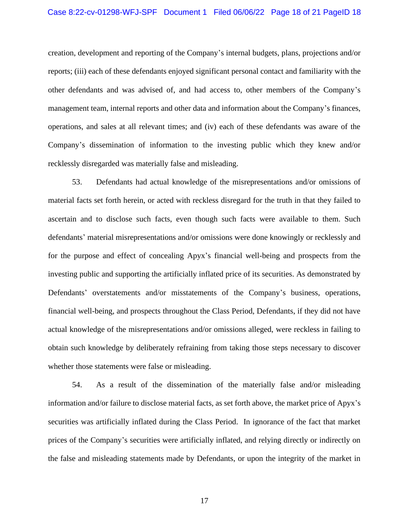creation, development and reporting of the Company's internal budgets, plans, projections and/or reports; (iii) each of these defendants enjoyed significant personal contact and familiarity with the other defendants and was advised of, and had access to, other members of the Company's management team, internal reports and other data and information about the Company's finances, operations, and sales at all relevant times; and (iv) each of these defendants was aware of the Company's dissemination of information to the investing public which they knew and/or recklessly disregarded was materially false and misleading.

53. Defendants had actual knowledge of the misrepresentations and/or omissions of material facts set forth herein, or acted with reckless disregard for the truth in that they failed to ascertain and to disclose such facts, even though such facts were available to them. Such defendants' material misrepresentations and/or omissions were done knowingly or recklessly and for the purpose and effect of concealing Apyx's financial well-being and prospects from the investing public and supporting the artificially inflated price of its securities. As demonstrated by Defendants' overstatements and/or misstatements of the Company's business, operations, financial well-being, and prospects throughout the Class Period, Defendants, if they did not have actual knowledge of the misrepresentations and/or omissions alleged, were reckless in failing to obtain such knowledge by deliberately refraining from taking those steps necessary to discover whether those statements were false or misleading.

54. As a result of the dissemination of the materially false and/or misleading information and/or failure to disclose material facts, as set forth above, the market price of Apyx's securities was artificially inflated during the Class Period. In ignorance of the fact that market prices of the Company's securities were artificially inflated, and relying directly or indirectly on the false and misleading statements made by Defendants, or upon the integrity of the market in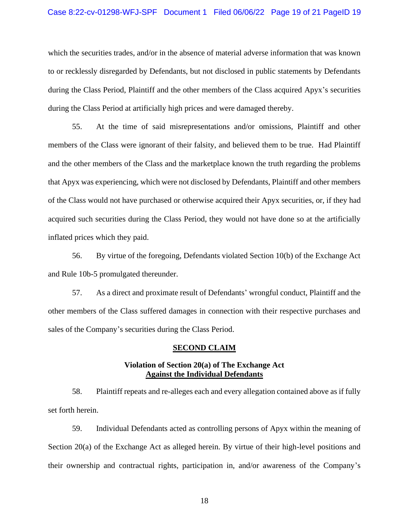#### Case 8:22-cv-01298-WFJ-SPF Document 1 Filed 06/06/22 Page 19 of 21 PageID 19

which the securities trades, and/or in the absence of material adverse information that was known to or recklessly disregarded by Defendants, but not disclosed in public statements by Defendants during the Class Period, Plaintiff and the other members of the Class acquired Apyx's securities during the Class Period at artificially high prices and were damaged thereby.

55. At the time of said misrepresentations and/or omissions, Plaintiff and other members of the Class were ignorant of their falsity, and believed them to be true. Had Plaintiff and the other members of the Class and the marketplace known the truth regarding the problems that Apyx was experiencing, which were not disclosed by Defendants, Plaintiff and other members of the Class would not have purchased or otherwise acquired their Apyx securities, or, if they had acquired such securities during the Class Period, they would not have done so at the artificially inflated prices which they paid.

56. By virtue of the foregoing, Defendants violated Section 10(b) of the Exchange Act and Rule 10b-5 promulgated thereunder.

57. As a direct and proximate result of Defendants' wrongful conduct, Plaintiff and the other members of the Class suffered damages in connection with their respective purchases and sales of the Company's securities during the Class Period.

#### **SECOND CLAIM**

## **Violation of Section 20(a) of The Exchange Act Against the Individual Defendants**

58. Plaintiff repeats and re-alleges each and every allegation contained above as if fully set forth herein.

59. Individual Defendants acted as controlling persons of Apyx within the meaning of Section 20(a) of the Exchange Act as alleged herein. By virtue of their high-level positions and their ownership and contractual rights, participation in, and/or awareness of the Company's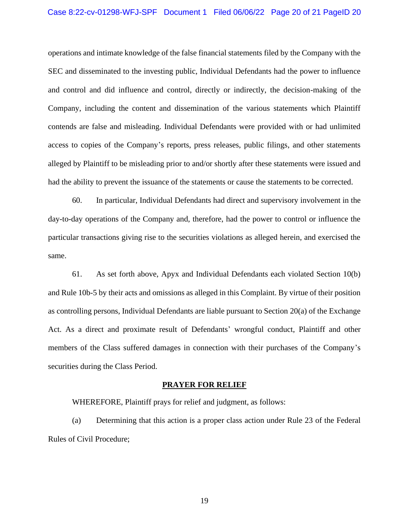#### Case 8:22-cv-01298-WFJ-SPF Document 1 Filed 06/06/22 Page 20 of 21 PageID 20

operations and intimate knowledge of the false financial statements filed by the Company with the SEC and disseminated to the investing public, Individual Defendants had the power to influence and control and did influence and control, directly or indirectly, the decision-making of the Company, including the content and dissemination of the various statements which Plaintiff contends are false and misleading. Individual Defendants were provided with or had unlimited access to copies of the Company's reports, press releases, public filings, and other statements alleged by Plaintiff to be misleading prior to and/or shortly after these statements were issued and had the ability to prevent the issuance of the statements or cause the statements to be corrected.

60. In particular, Individual Defendants had direct and supervisory involvement in the day-to-day operations of the Company and, therefore, had the power to control or influence the particular transactions giving rise to the securities violations as alleged herein, and exercised the same.

61. As set forth above, Apyx and Individual Defendants each violated Section 10(b) and Rule 10b-5 by their acts and omissions as alleged in this Complaint. By virtue of their position as controlling persons, Individual Defendants are liable pursuant to Section 20(a) of the Exchange Act. As a direct and proximate result of Defendants' wrongful conduct, Plaintiff and other members of the Class suffered damages in connection with their purchases of the Company's securities during the Class Period.

#### **PRAYER FOR RELIEF**

WHEREFORE, Plaintiff prays for relief and judgment, as follows:

(a) Determining that this action is a proper class action under Rule 23 of the Federal Rules of Civil Procedure;